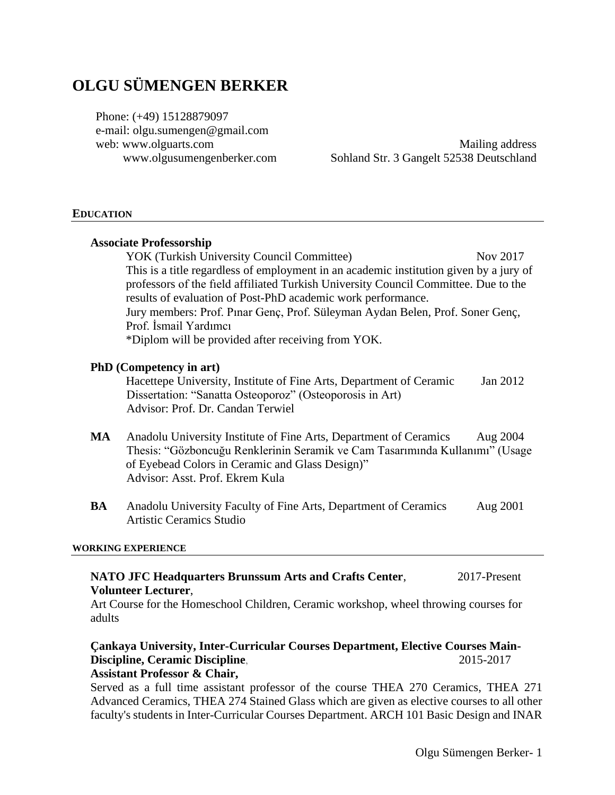# **OLGU SÜMENGEN BERKER**

Phone: (+49) 15128879097 e-mail: [olgu.sumengen@gmail.com](mailto:olgu.sumengen@gmail.com) web: [www.olguarts.com](http://www.olguarts.com/) www.olgusumengenberker.com

Mailing address Sohland Str. 3 Gangelt 52538 Deutschland

#### **EDUCATION**

|    | <b>Associate Professorship</b>                                                                                                                                                                                                                                                                                                                          |          |
|----|---------------------------------------------------------------------------------------------------------------------------------------------------------------------------------------------------------------------------------------------------------------------------------------------------------------------------------------------------------|----------|
|    | YOK (Turkish University Council Committee)                                                                                                                                                                                                                                                                                                              | Nov 2017 |
|    | This is a title regardless of employment in an academic institution given by a jury of<br>professors of the field affiliated Turkish University Council Committee. Due to the<br>results of evaluation of Post-PhD academic work performance.<br>Jury members: Prof. Pinar Genç, Prof. Süleyman Aydan Belen, Prof. Soner Genç,<br>Prof. İsmail Yardımcı |          |
|    | *Diplom will be provided after receiving from YOK.                                                                                                                                                                                                                                                                                                      |          |
|    | <b>PhD</b> (Competency in art)<br>Hacettepe University, Institute of Fine Arts, Department of Ceramic<br>Dissertation: "Sanatta Osteoporoz" (Osteoporosis in Art)<br>Advisor: Prof. Dr. Candan Terwiel                                                                                                                                                  | Jan 2012 |
| MA | Anadolu University Institute of Fine Arts, Department of Ceramics<br>Thesis: "Gözboncuğu Renklerinin Seramik ve Cam Tasarımında Kullanımı" (Usage<br>of Eyebead Colors in Ceramic and Glass Design)"<br>Advisor: Asst. Prof. Ekrem Kula                                                                                                                 | Aug 2004 |
| BA | Anadolu University Faculty of Fine Arts, Department of Ceramics<br><b>Artistic Ceramics Studio</b>                                                                                                                                                                                                                                                      | Aug 2001 |
|    | <b>WORKING EXPERIENCE</b>                                                                                                                                                                                                                                                                                                                               |          |

## **NATO JFC Headquarters Brunssum Arts and Crafts Center**, 2017-Present **Volunteer Lecturer**,

Art Course for the Homeschool Children, Ceramic workshop, wheel throwing courses for adults

#### **Çankaya University, Inter-Curricular Courses Department, Elective Courses Main-Discipline, Ceramic Discipline**, 2015-2017 **Assistant Professor & Chair,**

Served as a full time assistant professor of the course THEA 270 Ceramics, THEA 271 Advanced Ceramics, THEA 274 Stained Glass which are given as elective courses to all other faculty's students in Inter-Curricular Courses Department. ARCH 101 Basic Design and INAR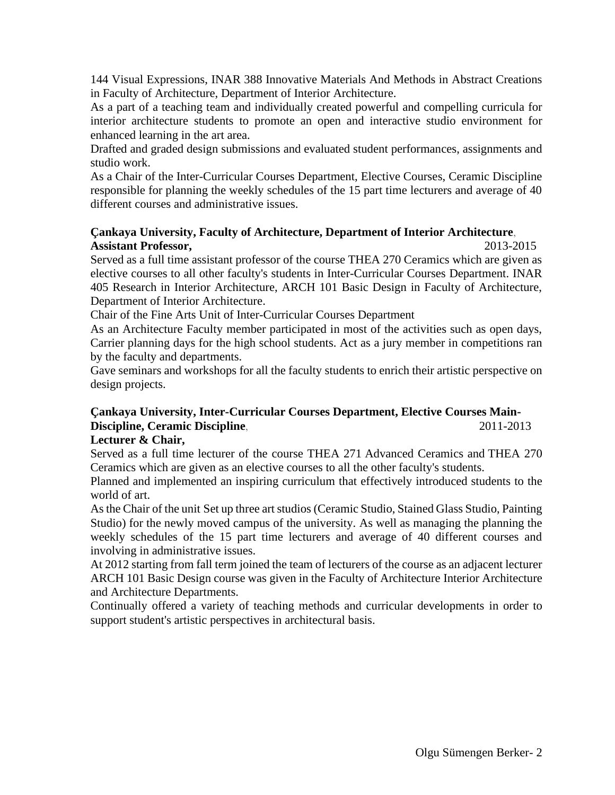144 Visual Expressions, INAR 388 Innovative Materials And Methods in Abstract Creations in Faculty of Architecture, Department of Interior Architecture.

As a part of a teaching team and individually created powerful and compelling curricula for interior architecture students to promote an open and interactive studio environment for enhanced learning in the art area.

Drafted and graded design submissions and evaluated student performances, assignments and studio work.

As a Chair of the Inter-Curricular Courses Department, Elective Courses, Ceramic Discipline responsible for planning the weekly schedules of the 15 part time lecturers and average of 40 different courses and administrative issues.

## **Çankaya University, Faculty of Architecture, Department of Interior Architecture**, **Assistant Professor,** 2013-2015

Served as a full time assistant professor of the course THEA 270 Ceramics which are given as elective courses to all other faculty's students in Inter-Curricular Courses Department. INAR 405 Research in Interior Architecture, ARCH 101 Basic Design in Faculty of Architecture, Department of Interior Architecture.

Chair of the Fine Arts Unit of Inter-Curricular Courses Department

As an Architecture Faculty member participated in most of the activities such as open days, Carrier planning days for the high school students. Act as a jury member in competitions ran by the faculty and departments.

Gave seminars and workshops for all the faculty students to enrich their artistic perspective on design projects.

## **Çankaya University, Inter-Curricular Courses Department, Elective Courses Main-Discipline, Ceramic Discipline**, 2011-2013

## **Lecturer & Chair,**

Served as a full time lecturer of the course THEA 271 Advanced Ceramics and THEA 270 Ceramics which are given as an elective courses to all the other faculty's students.

Planned and implemented an inspiring curriculum that effectively introduced students to the world of art.

As the Chair of the unit Set up three art studios (Ceramic Studio, Stained Glass Studio, Painting Studio) for the newly moved campus of the university. As well as managing the planning the weekly schedules of the 15 part time lecturers and average of 40 different courses and involving in administrative issues.

At 2012 starting from fall term joined the team of lecturers of the course as an adjacent lecturer ARCH 101 Basic Design course was given in the Faculty of Architecture Interior Architecture and Architecture Departments.

Continually offered a variety of teaching methods and curricular developments in order to support student's artistic perspectives in architectural basis.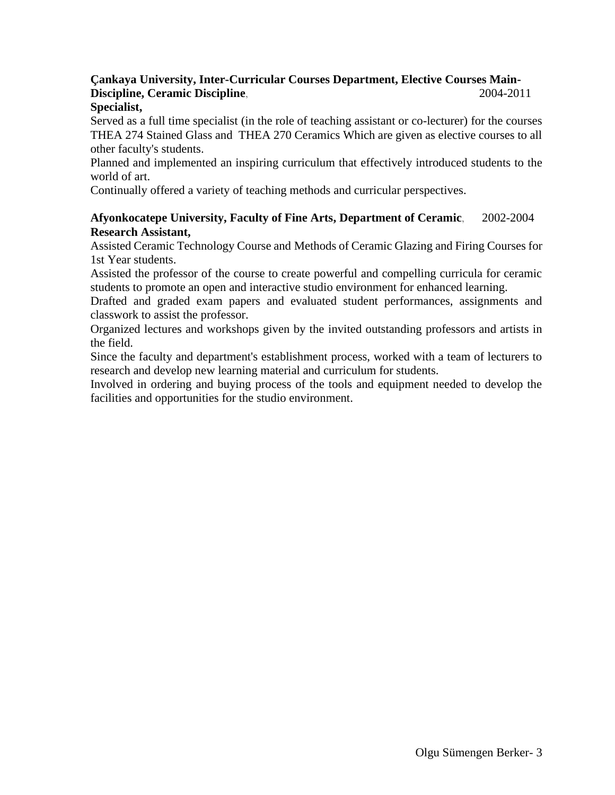## **Çankaya University, Inter-Curricular Courses Department, Elective Courses Main-Discipline, Ceramic Discipline**, 2004-2011

#### **Specialist,**

Served as a full time specialist (in the role of teaching assistant or co-lecturer) for the courses THEA 274 Stained Glass and THEA 270 Ceramics Which are given as elective courses to all other faculty's students.

Planned and implemented an inspiring curriculum that effectively introduced students to the world of art.

Continually offered a variety of teaching methods and curricular perspectives.

## **Afyonkocatepe University, Faculty of Fine Arts, Department of Ceramic**, 2002-2004 **Research Assistant,**

Assisted Ceramic Technology Course and Methods of Ceramic Glazing and Firing Courses for 1st Year students.

Assisted the professor of the course to create powerful and compelling curricula for ceramic students to promote an open and interactive studio environment for enhanced learning.

Drafted and graded exam papers and evaluated student performances, assignments and classwork to assist the professor.

Organized lectures and workshops given by the invited outstanding professors and artists in the field.

Since the faculty and department's establishment process, worked with a team of lecturers to research and develop new learning material and curriculum for students.

Involved in ordering and buying process of the tools and equipment needed to develop the facilities and opportunities for the studio environment.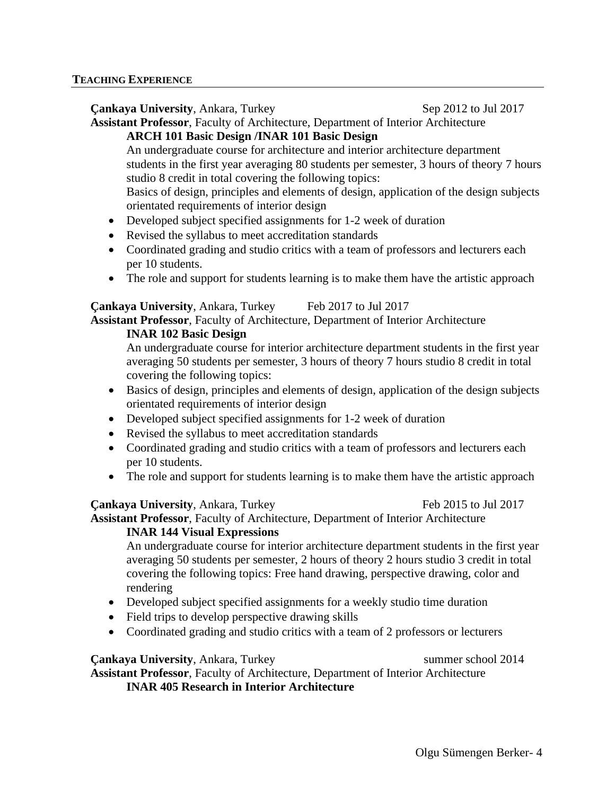| <b>Cankaya University, Ankara, Turkey</b>                                                          | Sep 2012 to Jul 2017 |  |  |  |
|----------------------------------------------------------------------------------------------------|----------------------|--|--|--|
| Assistant Professor, Faculty of Architecture, Department of Interior Architecture                  |                      |  |  |  |
| <b>ARCH 101 Basic Design /INAR 101 Basic Design</b>                                                |                      |  |  |  |
| An undergraduate course for architecture and interior architecture department                      |                      |  |  |  |
| students in the first year averaging 80 students per semester, 3 hours of theory 7 hours           |                      |  |  |  |
| studio 8 credit in total covering the following topics:                                            |                      |  |  |  |
| Basics of design, principles and elements of design, application of the design subjects            |                      |  |  |  |
| orientated requirements of interior design                                                         |                      |  |  |  |
| Developed subject specified assignments for 1-2 week of duration<br>$\bullet$                      |                      |  |  |  |
| Revised the syllabus to meet accreditation standards<br>$\bullet$                                  |                      |  |  |  |
| Coordinated grading and studio critics with a team of professors and lecturers each<br>$\bullet$   |                      |  |  |  |
| per 10 students.                                                                                   |                      |  |  |  |
| The role and support for students learning is to make them have the artistic approach<br>$\bullet$ |                      |  |  |  |
| <b>Çankaya University, Ankara, Turkey</b>                                                          | Feb 2017 to Jul 2017 |  |  |  |
| Assistant Professor, Faculty of Architecture, Department of Interior Architecture                  |                      |  |  |  |
| <b>INAR 102 Rasic Desion</b>                                                                       |                      |  |  |  |

**INAR 102 Basic Design** 

An undergraduate course for interior architecture department students in the first year averaging 50 students per semester, 3 hours of theory 7 hours studio 8 credit in total covering the following topics:

- Basics of design, principles and elements of design, application of the design subjects orientated requirements of interior design
- Developed subject specified assignments for 1-2 week of duration
- Revised the syllabus to meet accreditation standards
- Coordinated grading and studio critics with a team of professors and lecturers each per 10 students.
- The role and support for students learning is to make them have the artistic approach

#### **Cankaya University, Ankara, Turkey Feb 2015 to Jul 2017**

**Assistant Professor**, Faculty of Architecture, Department of Interior Architecture

## **INAR 144 Visual Expressions**

An undergraduate course for interior architecture department students in the first year averaging 50 students per semester, 2 hours of theory 2 hours studio 3 credit in total covering the following topics: Free hand drawing, perspective drawing, color and rendering

- Developed subject specified assignments for a weekly studio time duration
- Field trips to develop perspective drawing skills
- Coordinated grading and studio critics with a team of 2 professors or lecturers

## **Cankaya University**, Ankara, Turkey summer school 2014

**Assistant Professor**, Faculty of Architecture, Department of Interior Architecture **INAR 405 Research in Interior Architecture**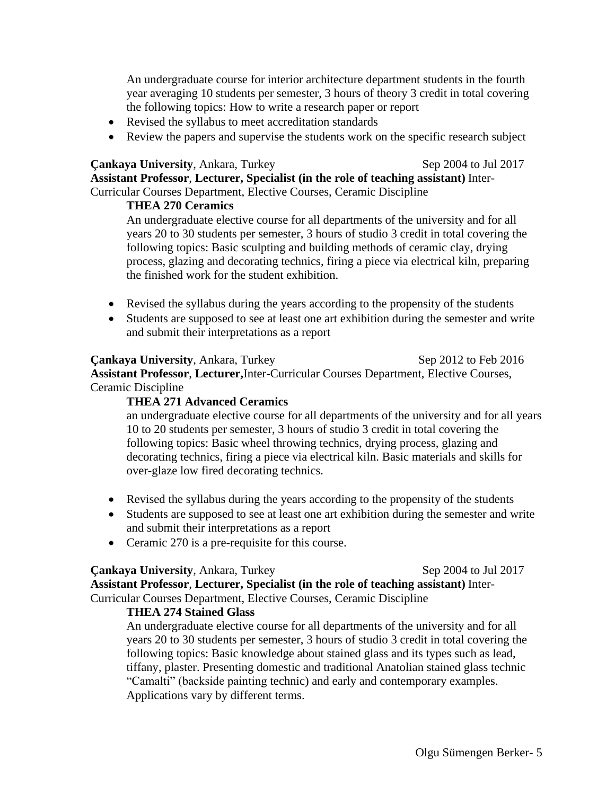An undergraduate course for interior architecture department students in the fourth year averaging 10 students per semester, 3 hours of theory 3 credit in total covering the following topics: How to write a research paper or report

- Revised the syllabus to meet accreditation standards
- Review the papers and supervise the students work on the specific research subject

#### **Cankaya University**, Ankara, Turkey Sep 2004 to Jul 2017

**Assistant Professor**, **Lecturer, Specialist (in the role of teaching assistant)** Inter-Curricular Courses Department, Elective Courses, Ceramic Discipline

### **THEA 270 Ceramics**

An undergraduate elective course for all departments of the university and for all years 20 to 30 students per semester, 3 hours of studio 3 credit in total covering the following topics: Basic sculpting and building methods of ceramic clay, drying process, glazing and decorating technics, firing a piece via electrical kiln, preparing the finished work for the student exhibition.

- Revised the syllabus during the years according to the propensity of the students
- Students are supposed to see at least one art exhibition during the semester and write and submit their interpretations as a report

#### **Cankaya University**, Ankara, Turkey Sep 2012 to Feb 2016

**Assistant Professor**, **Lecturer,**Inter-Curricular Courses Department, Elective Courses, Ceramic Discipline

#### **THEA 271 Advanced Ceramics**

an undergraduate elective course for all departments of the university and for all years 10 to 20 students per semester, 3 hours of studio 3 credit in total covering the following topics: Basic wheel throwing technics, drying process, glazing and decorating technics, firing a piece via electrical kiln. Basic materials and skills for over-glaze low fired decorating technics.

- Revised the syllabus during the years according to the propensity of the students
- Students are supposed to see at least one art exhibition during the semester and write and submit their interpretations as a report
- Ceramic 270 is a pre-requisite for this course.

#### **Cankaya University, Ankara, Turkey Sep 2004 to Jul 2017**

**Assistant Professor**, **Lecturer, Specialist (in the role of teaching assistant)** Inter-Curricular Courses Department, Elective Courses, Ceramic Discipline

## **THEA 274 Stained Glass**

An undergraduate elective course for all departments of the university and for all years 20 to 30 students per semester, 3 hours of studio 3 credit in total covering the following topics: Basic knowledge about stained glass and its types such as lead, tiffany, plaster. Presenting domestic and traditional Anatolian stained glass technic "Camalti" (backside painting technic) and early and contemporary examples. Applications vary by different terms.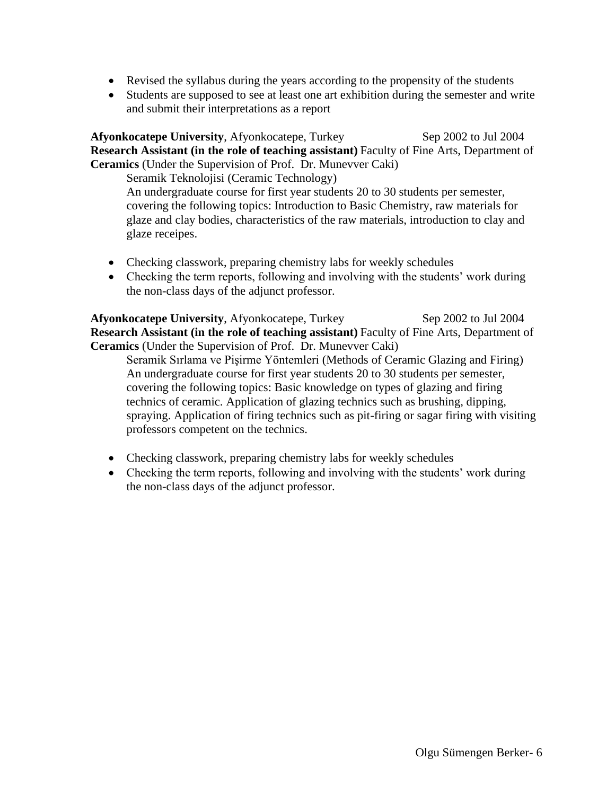- Revised the syllabus during the years according to the propensity of the students
- Students are supposed to see at least one art exhibition during the semester and write and submit their interpretations as a report

**Afyonkocatepe University, Afyonkocatepe, Turkey Sep 2002 to Jul 2004 Research Assistant (in the role of teaching assistant)** Faculty of Fine Arts, Department of **Ceramics** (Under the Supervision of Prof. Dr. Munevver Caki)

Seramik Teknolojisi (Ceramic Technology) An undergraduate course for first year students 20 to 30 students per semester, covering the following topics: Introduction to Basic Chemistry, raw materials for glaze and clay bodies, characteristics of the raw materials, introduction to clay and glaze receipes.

- Checking classwork, preparing chemistry labs for weekly schedules
- Checking the term reports, following and involving with the students' work during the non-class days of the adjunct professor.

**Afyonkocatepe University**, Afyonkocatepe, Turkey Sep 2002 to Jul 2004 **Research Assistant (in the role of teaching assistant)** Faculty of Fine Arts, Department of **Ceramics** (Under the Supervision of Prof. Dr. Munevver Caki)

Seramik Sırlama ve Pişirme Yöntemleri (Methods of Ceramic Glazing and Firing) An undergraduate course for first year students 20 to 30 students per semester, covering the following topics: Basic knowledge on types of glazing and firing technics of ceramic. Application of glazing technics such as brushing, dipping, spraying. Application of firing technics such as pit-firing or sagar firing with visiting professors competent on the technics.

- Checking classwork, preparing chemistry labs for weekly schedules
- Checking the term reports, following and involving with the students' work during the non-class days of the adjunct professor.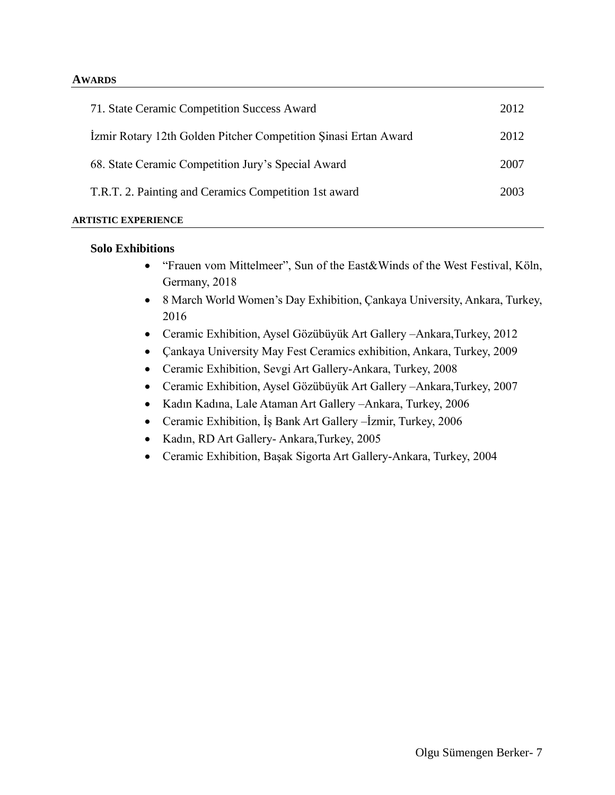#### **AWARDS**

| 71. State Ceramic Competition Success Award                     | 2012 |
|-----------------------------------------------------------------|------|
| Izmir Rotary 12th Golden Pitcher Competition Sinasi Ertan Award | 2012 |
| 68. State Ceramic Competition Jury's Special Award              | 2007 |
| T.R.T. 2. Painting and Ceramics Competition 1st award           | 2003 |
|                                                                 |      |

#### **ARTISTIC EXPERIENCE**

#### **Solo Exhibitions**

- "Frauen vom Mittelmeer", Sun of the East&Winds of the West Festival, Köln, Germany, 2018
- 8 March World Women's Day Exhibition, Çankaya University, Ankara, Turkey, 2016
- Ceramic Exhibition, Aysel Gözübüyük Art Gallery –Ankara,Turkey, 2012
- Çankaya University May Fest Ceramics exhibition, Ankara, Turkey, 2009
- Ceramic Exhibition, Sevgi Art Gallery-Ankara, Turkey, 2008
- Ceramic Exhibition, Aysel Gözübüyük Art Gallery –Ankara,Turkey, 2007
- Kadın Kadına, Lale Ataman Art Gallery –Ankara, Turkey, 2006
- Ceramic Exhibition, İş Bank Art Gallery –İzmir, Turkey, 2006
- Kadın, RD Art Gallery- Ankara,Turkey, 2005
- Ceramic Exhibition, Başak Sigorta Art Gallery-Ankara, Turkey, 2004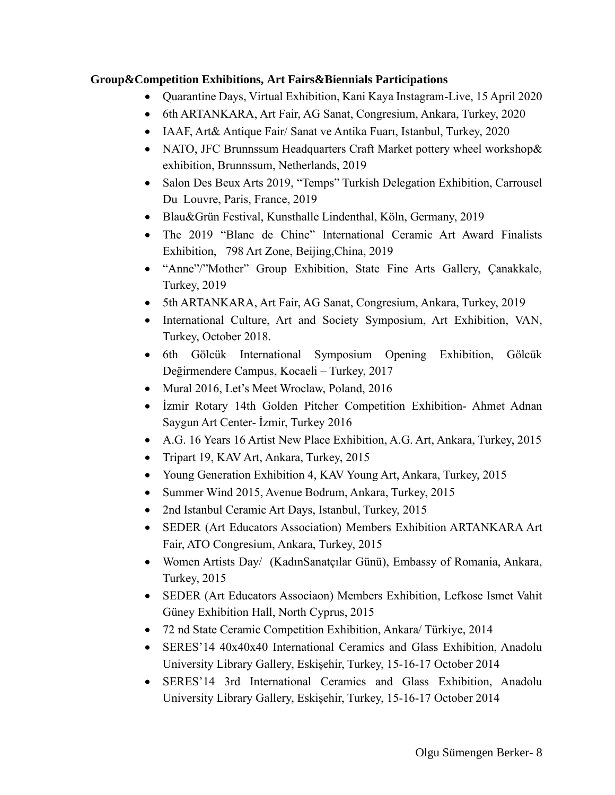## **Group&Competition Exhibitions, Art Fairs&Biennials Participations**

- Quarantine Days, Virtual Exhibition, Kani Kaya Instagram-Live, 15 April 2020
- 6th ARTANKARA, Art Fair, AG Sanat, Congresium, Ankara, Turkey, 2020
- IAAF, Art& Antique Fair/ Sanat ve Antika Fuari, Istanbul, Turkey, 2020
- NATO, JFC Brunnssum Headquarters Craft Market pottery wheel workshop & exhibition, Brunnssum, Netherlands, 2019
- Salon Des Beux Arts 2019, "Temps" Turkish Delegation Exhibition, Carrousel Du Louvre, Paris, France, 2019
- Blau&Grün Festival, Kunsthalle Lindenthal, Köln, Germany, 2019
- The 2019 "Blanc de Chine" International Ceramic Art Award Finalists Exhibition, 798 Art Zone, Beijing,China, 2019
- "Anne"/"Mother" Group Exhibition, State Fine Arts Gallery, Çanakkale, Turkey, 2019
- 5th ARTANKARA, Art Fair, AG Sanat, Congresium, Ankara, Turkey, 2019
- International Culture, Art and Society Symposium, Art Exhibition, VAN, Turkey, October 2018.
- 6th Gölcük International Symposium Opening Exhibition, Gölcük Değirmendere Campus, Kocaeli – Turkey, 2017
- Mural 2016, Let's Meet Wroclaw, Poland, 2016
- Izmir Rotary 14th Golden Pitcher Competition Exhibition-Ahmet Adnan Saygun Art Center- İzmir, Turkey 2016
- A.G. 16 Years 16 Artist New Place Exhibition, A.G. Art, Ankara, Turkey, 2015
- Tripart 19, KAV Art, Ankara, Turkey, 2015
- Young Generation Exhibition 4, KAV Young Art, Ankara, Turkey, 2015
- Summer Wind 2015, Avenue Bodrum, Ankara, Turkey, 2015
- 2nd Istanbul Ceramic Art Days, Istanbul, Turkey, 2015
- SEDER (Art Educators Association) Members Exhibition ARTANKARA Art Fair, ATO Congresium, Ankara, Turkey, 2015
- Women Artists Day/ (KadınSanatçılar Günü), Embassy of Romania, Ankara, Turkey, 2015
- SEDER (Art Educators Associaon) Members Exhibition, Lefkose Ismet Vahit Güney Exhibition Hall, North Cyprus, 2015
- 72 nd State Ceramic Competition Exhibition, Ankara/ Türkiye, 2014
- SERES'14 40x40x40 International Ceramics and Glass Exhibition, Anadolu University Library Gallery, Eskişehir, Turkey, 15-16-17 October 2014
- SERES'14 3rd International Ceramics and Glass Exhibition, Anadolu University Library Gallery, Eskişehir, Turkey, 15-16-17 October 2014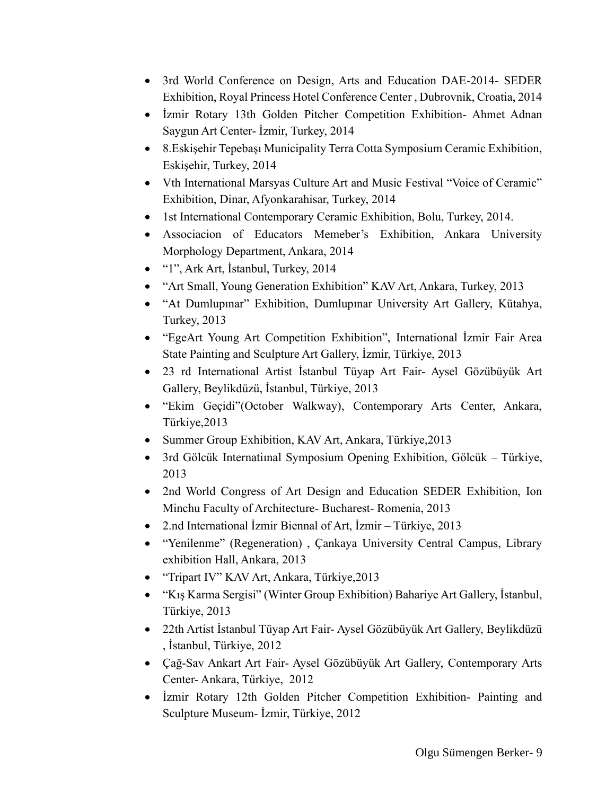- 3rd World Conference on Design, Arts and Education DAE-2014- SEDER Exhibition, Royal Princess Hotel Conference Center , Dubrovnik, Croatia, 2014
- İzmir Rotary 13th Golden Pitcher Competition Exhibition- Ahmet Adnan Saygun Art Center- İzmir, Turkey, 2014
- 8.Eskişehir Tepebaşı Municipality Terra Cotta Symposium Ceramic Exhibition, Eskişehir, Turkey, 2014
- Vth International Marsyas Culture Art and Music Festival "Voice of Ceramic" Exhibition, Dinar, Afyonkarahisar, Turkey, 2014
- 1st International Contemporary Ceramic Exhibition, Bolu, Turkey, 2014.
- Associacion of Educators Memeber's Exhibition, Ankara University Morphology Department, Ankara, 2014
- "1", Ark Art, İstanbul, Turkey, 2014
- "Art Small, Young Generation Exhibition" KAV Art, Ankara, Turkey, 2013
- "At Dumlupınar" Exhibition, Dumlupınar University Art Gallery, Kütahya, Turkey, 2013
- "EgeArt Young Art Competition Exhibition", International İzmir Fair Area State Painting and Sculpture Art Gallery, İzmir, Türkiye, 2013
- 23 rd International Artist İstanbul Tüyap Art Fair- Aysel Gözübüyük Art Gallery, Beylikdüzü, İstanbul, Türkiye, 2013
- "Ekim Geçidi"(October Walkway), Contemporary Arts Center, Ankara, Türkiye,2013
- Summer Group Exhibition, KAV Art, Ankara, Türkiye,2013
- 3rd Gölcük Internatiınal Symposium Opening Exhibition, Gölcük Türkiye, 2013
- 2nd World Congress of Art Design and Education SEDER Exhibition, Ion Minchu Faculty of Architecture- Bucharest- Romenia, 2013
- 2.nd International İzmir Biennal of Art, İzmir Türkiye, 2013
- "Yenilenme" (Regeneration), Cankaya University Central Campus, Library exhibition Hall, Ankara, 2013
- "Tripart IV" KAV Art, Ankara, Türkiye,2013
- "Kış Karma Sergisi" (Winter Group Exhibition) Bahariye Art Gallery, İstanbul, Türkiye, 2013
- 22th Artist İstanbul Tüyap Art Fair- Aysel Gözübüyük Art Gallery, Beylikdüzü , İstanbul, Türkiye, 2012
- Çağ-Sav Ankart Art Fair- Aysel Gözübüyük Art Gallery, Contemporary Arts Center- Ankara, Türkiye, 2012
- Izmir Rotary 12th Golden Pitcher Competition Exhibition- Painting and Sculpture Museum- İzmir, Türkiye, 2012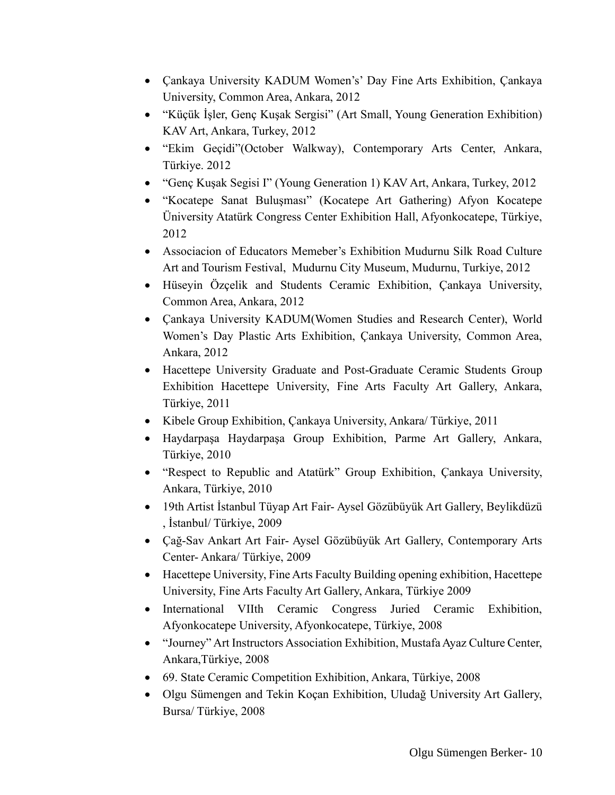- Çankaya University KADUM Women's' Day Fine Arts Exhibition, Çankaya University, Common Area, Ankara, 2012
- "Küçük İşler, Genç Kuşak Sergisi" (Art Small, Young Generation Exhibition) KAV Art, Ankara, Turkey, 2012
- "Ekim Geçidi"(October Walkway), Contemporary Arts Center, Ankara, Türkiye. 2012
- "Genç Kuşak Segisi I" (Young Generation 1) KAV Art, Ankara, Turkey, 2012
- "Kocatepe Sanat Buluşması" (Kocatepe Art Gathering) Afyon Kocatepe Üniversity Atatürk Congress Center Exhibition Hall, Afyonkocatepe, Türkiye, 2012
- Associacion of Educators Memeber's Exhibition Mudurnu Silk Road Culture Art and Tourism Festival, Mudurnu City Museum, Mudurnu, Turkiye, 2012
- Hüseyin Özçelik and Students Ceramic Exhibition, Çankaya University, Common Area, Ankara, 2012
- Çankaya University KADUM(Women Studies and Research Center), World Women's Day Plastic Arts Exhibition, Çankaya University, Common Area, Ankara, 2012
- Hacettepe University Graduate and Post-Graduate Ceramic Students Group Exhibition Hacettepe University, Fine Arts Faculty Art Gallery, Ankara, Türkiye, 2011
- Kibele Group Exhibition, Çankaya University, Ankara/ Türkiye, 2011
- Haydarpaşa Haydarpaşa Group Exhibition, Parme Art Gallery, Ankara, Türkiye, 2010
- "Respect to Republic and Atatürk" Group Exhibition, Çankaya University, Ankara, Türkiye, 2010
- 19th Artist İstanbul Tüyap Art Fair- Aysel Gözübüyük Art Gallery, Beylikdüzü , İstanbul/ Türkiye, 2009
- Çağ-Sav Ankart Art Fair- Aysel Gözübüyük Art Gallery, Contemporary Arts Center- Ankara/ Türkiye, 2009
- Hacettepe University, Fine Arts Faculty Building opening exhibition, Hacettepe University, Fine Arts Faculty Art Gallery, Ankara, Türkiye 2009
- International VIIth Ceramic Congress Juried Ceramic Exhibition, Afyonkocatepe University, Afyonkocatepe, Türkiye, 2008
- "Journey" Art Instructors Association Exhibition, Mustafa Ayaz Culture Center, Ankara,Türkiye, 2008
- 69. State Ceramic Competition Exhibition, Ankara, Türkiye, 2008
- Olgu Sümengen and Tekin Koçan Exhibition, Uludağ University Art Gallery, Bursa/ Türkiye, 2008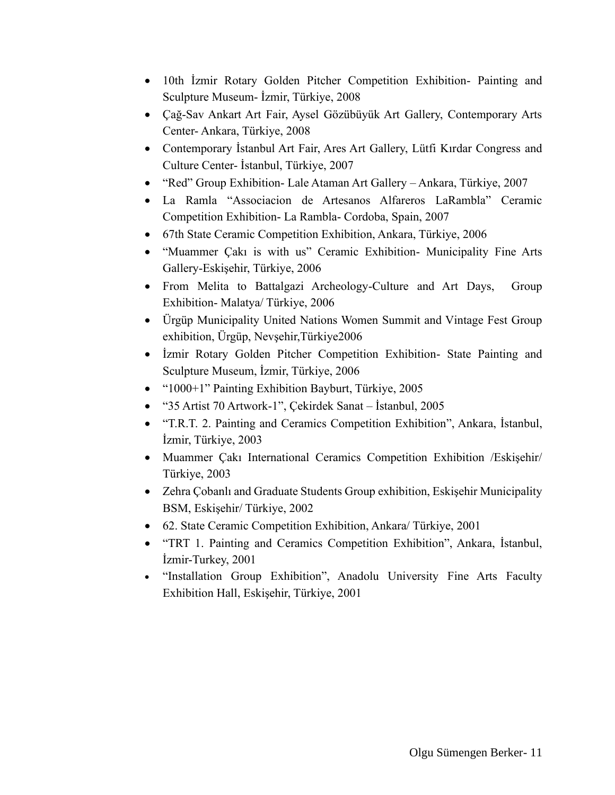- 10th İzmir Rotary Golden Pitcher Competition Exhibition- Painting and Sculpture Museum- İzmir, Türkiye, 2008
- Çağ-Sav Ankart Art Fair, Aysel Gözübüyük Art Gallery, Contemporary Arts Center- Ankara, Türkiye, 2008
- Contemporary İstanbul Art Fair, Ares Art Gallery, Lütfi Kırdar Congress and Culture Center- İstanbul, Türkiye, 2007
- "Red" Group Exhibition- Lale Ataman Art Gallery Ankara, Türkiye, 2007
- La Ramla "Associacion de Artesanos Alfareros LaRambla" Ceramic Competition Exhibition- La Rambla- Cordoba, Spain, 2007
- 67th State Ceramic Competition Exhibition, Ankara, Türkiye, 2006
- "Muammer Çakı is with us" Ceramic Exhibition- Municipality Fine Arts Gallery-Eskişehir, Türkiye, 2006
- From Melita to Battalgazi Archeology-Culture and Art Days, Group Exhibition- Malatya/ Türkiye, 2006
- Ürgüp Municipality United Nations Women Summit and Vintage Fest Group exhibition, Ürgüp, Nevşehir,Türkiye2006
- İzmir Rotary Golden Pitcher Competition Exhibition- State Painting and Sculpture Museum, İzmir, Türkiye, 2006
- "1000+1" Painting Exhibition Bayburt, Türkiye, 2005
- "35 Artist 70 Artwork-1", Çekirdek Sanat İstanbul, 2005
- "T.R.T. 2. Painting and Ceramics Competition Exhibition", Ankara, İstanbul, İzmir, Türkiye, 2003
- Muammer Çakı International Ceramics Competition Exhibition /Eskişehir/ Türkiye, 2003
- Zehra Çobanlı and Graduate Students Group exhibition, Eskişehir Municipality BSM, Eskişehir/ Türkiye, 2002
- 62. State Ceramic Competition Exhibition, Ankara/ Türkiye, 2001
- "TRT 1. Painting and Ceramics Competition Exhibition", Ankara, İstanbul, İzmir-Turkey, 2001
- "Installation Group Exhibition", Anadolu University Fine Arts Faculty Exhibition Hall, Eskişehir, Türkiye, 2001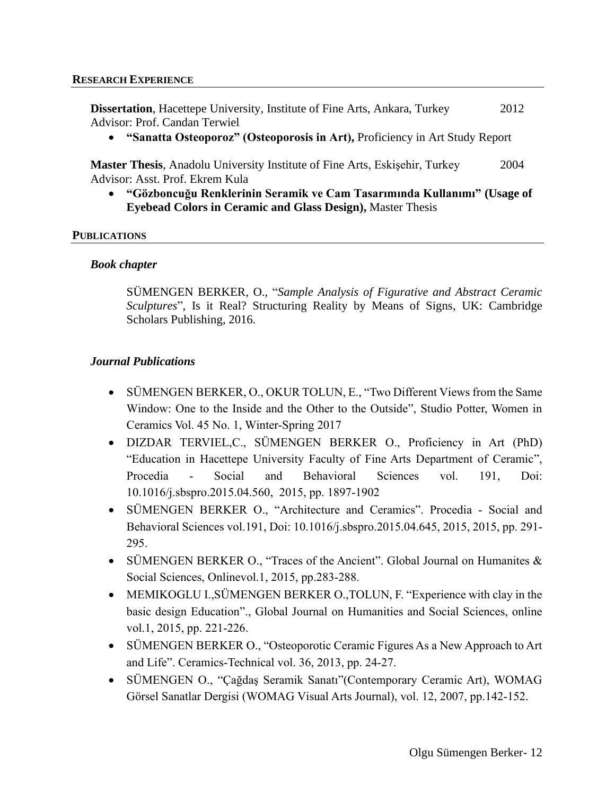**Dissertation**, Hacettepe University, Institute of Fine Arts, Ankara, Turkey 2012 Advisor: Prof. Candan Terwiel

• **"Sanatta Osteoporoz" (Osteoporosis in Art),** Proficiency in Art Study Report

**Master Thesis**, Anadolu University Institute of Fine Arts, Eskişehir, Turkey 2004 Advisor: Asst. Prof. Ekrem Kula

• **"Gözboncuğu Renklerinin Seramik ve Cam Tasarımında Kullanımı" (Usage of Eyebead Colors in Ceramic and Glass Design),** Master Thesis

#### **PUBLICATIONS**

#### *Book chapter*

SÜMENGEN BERKER, O., "*Sample Analysis of Figurative and Abstract Ceramic Sculptures*", Is it Real? Structuring Reality by Means of Signs, UK: Cambridge Scholars Publishing, 2016.

#### *Journal Publications*

- SÜMENGEN BERKER, O., OKUR TOLUN, E., "Two Different Views from the Same Window: One to the Inside and the Other to the Outside", Studio Potter, Women in Ceramics Vol. 45 No. 1, Winter-Spring 2017
- DIZDAR TERVIEL,C., SÜMENGEN BERKER O., Proficiency in Art (PhD) "Education in Hacettepe University Faculty of Fine Arts Department of Ceramic", Procedia - Social and Behavioral Sciences vol. 191, Doi: 10.1016/j.sbspro.2015.04.560, 2015, pp. 1897-1902
- SÜMENGEN BERKER O., "Architecture and Ceramics". Procedia Social and Behavioral Sciences vol.191, Doi: 10.1016/j.sbspro.2015.04.645, 2015, 2015, pp. 291- 295.
- SÜMENGEN BERKER O., "Traces of the Ancient". Global Journal on Humanites & Social Sciences, Onlinevol.1, 2015, pp.283-288.
- MEMIKOGLU I., SÜMENGEN BERKER O., TOLUN, F. "Experience with clay in the basic design Education"., Global Journal on Humanities and Social Sciences, online vol.1, 2015, pp. 221-226.
- SÜMENGEN BERKER O., "Osteoporotic Ceramic Figures As a New Approach to Art and Life". Ceramics-Technical vol. 36, 2013, pp. 24-27.
- SÜMENGEN O., "Çağdaş Seramik Sanatı"(Contemporary Ceramic Art), WOMAG Görsel Sanatlar Dergisi (WOMAG Visual Arts Journal), vol. 12, 2007, pp.142-152.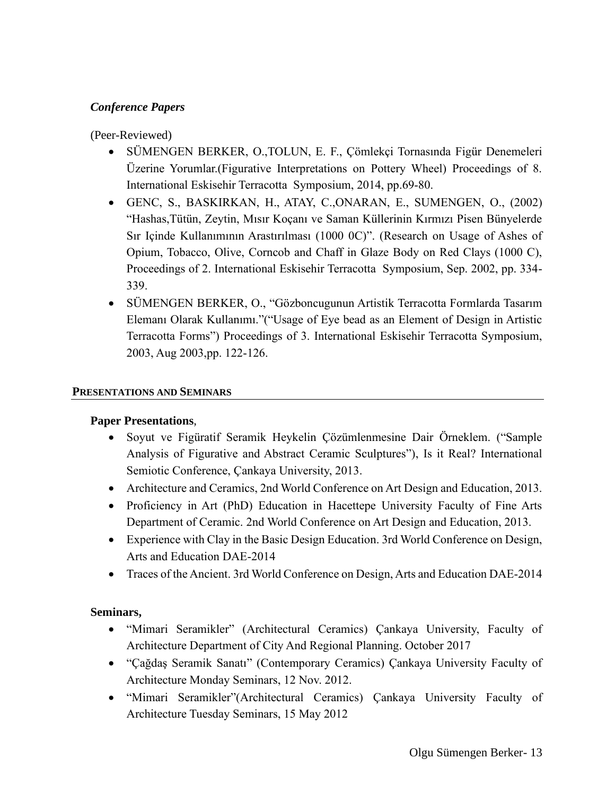## *Conference Papers*

(Peer-Reviewed)

- SÜMENGEN BERKER, O.,TOLUN, E. F., Çömlekçi Tornasında Figür Denemeleri Üzerine Yorumlar.(Figurative Interpretations on Pottery Wheel) Proceedings of 8. International Eskisehir Terracotta Symposium, 2014, pp.69-80.
- GENC, S., BASKIRKAN, H., ATAY, C.,ONARAN, E., SUMENGEN, O., (2002) "Hashas,Tütün, Zeytin, Mısır Koçanı ve Saman Küllerinin Kırmızı Pisen Bünyelerde Sır Içinde Kullanımının Arastırılması (1000 0C)". (Research on Usage of Ashes of Opium, Tobacco, Olive, Corncob and Chaff in Glaze Body on Red Clays (1000 C), Proceedings of 2. International Eskisehir Terracotta Symposium, Sep. 2002, pp. 334- 339.
- SÜMENGEN BERKER, O., "Gözboncugunun Artistik Terracotta Formlarda Tasarım Elemanı Olarak Kullanımı."("Usage of Eye bead as an Element of Design in Artistic Terracotta Forms") Proceedings of 3. International Eskisehir Terracotta Symposium, 2003, Aug 2003,pp. 122-126.

### **PRESENTATIONS AND SEMINARS**

#### **Paper Presentations**,

- Soyut ve Figüratif Seramik Heykelin Çözümlenmesine Dair Örneklem. ("Sample Analysis of Figurative and Abstract Ceramic Sculptures"), Is it Real? International Semiotic Conference, Çankaya University, 2013.
- Architecture and Ceramics, 2nd World Conference on Art Design and Education, 2013.
- Proficiency in Art (PhD) Education in Hacettepe University Faculty of Fine Arts Department of Ceramic. 2nd World Conference on Art Design and Education, 2013.
- Experience with Clay in the Basic Design Education. 3rd World Conference on Design, Arts and Education DAE-2014
- Traces of the Ancient. 3rd World Conference on Design, Arts and Education DAE-2014

## **Seminars,**

- "Mimari Seramikler" (Architectural Ceramics) Çankaya University, Faculty of Architecture Department of City And Regional Planning. October 2017
- "Çağdaş Seramik Sanatı" (Contemporary Ceramics) Çankaya University Faculty of Architecture Monday Seminars, 12 Nov. 2012.
- "Mimari Seramikler"(Architectural Ceramics) Çankaya University Faculty of Architecture Tuesday Seminars, 15 May 2012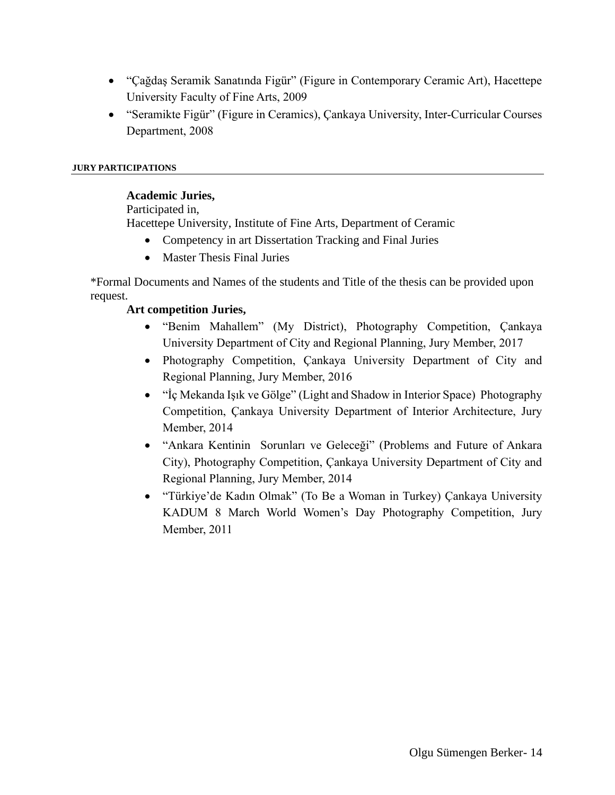- "Çağdaş Seramik Sanatında Figür" (Figure in Contemporary Ceramic Art), Hacettepe University Faculty of Fine Arts, 2009
- "Seramikte Figür" (Figure in Ceramics), Çankaya University, Inter-Curricular Courses Department, 2008

#### **JURY PARTICIPATIONS**

#### **Academic Juries,**

Participated in,

Hacettepe University, Institute of Fine Arts, Department of Ceramic

- Competency in art Dissertation Tracking and Final Juries
- Master Thesis Final Juries

\*Formal Documents and Names of the students and Title of the thesis can be provided upon request.

## **Art competition Juries,**

- "Benim Mahallem" (My District), Photography Competition, Çankaya University Department of City and Regional Planning, Jury Member, 2017
- Photography Competition, Çankaya University Department of City and Regional Planning, Jury Member, 2016
- "İç Mekanda Işık ve Gölge" (Light and Shadow in Interior Space) Photography Competition, Çankaya University Department of Interior Architecture, Jury Member, 2014
- "Ankara Kentinin Sorunları ve Geleceği" (Problems and Future of Ankara City), Photography Competition, Çankaya University Department of City and Regional Planning, Jury Member, 2014
- "Türkiye'de Kadın Olmak" (To Be a Woman in Turkey) Çankaya University KADUM 8 March World Women's Day Photography Competition, Jury Member, 2011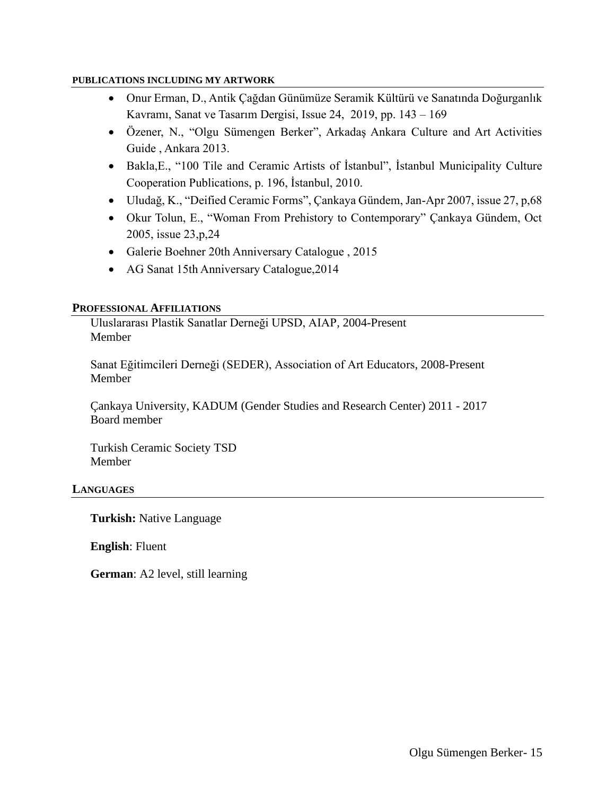#### **PUBLICATIONS INCLUDING MY ARTWORK**

- Onur Erman, D., Antik Çağdan Günümüze Seramik Kültürü ve Sanatında Doğurganlık Kavramı, Sanat ve Tasarım Dergisi, [Issue 24,](https://dergipark.org.tr/en/pub/sanatvetasarim/issue/51009) 2019, pp. 143 – 169
- Özener, N., "Olgu Sümengen Berker", Arkadaş Ankara Culture and Art Activities Guide , Ankara 2013.
- Bakla,E., "100 Tile and Ceramic Artists of İstanbul", İstanbul Municipality Culture Cooperation Publications, p. 196, İstanbul, 2010.
- Uludağ, K., "Deified Ceramic Forms", Çankaya Gündem, Jan-Apr 2007, issue 27, p,68
- Okur Tolun, E., "Woman From Prehistory to Contemporary" Çankaya Gündem, Oct 2005, issue 23,p,24
- Galerie Boehner 20th Anniversary Catalogue , 2015
- AG Sanat 15th Anniversary Catalogue, 2014

#### **PROFESSIONAL AFFILIATIONS**

Uluslararası Plastik Sanatlar Derneği UPSD, AIAP, 2004-Present Member

Sanat Eğitimcileri Derneği (SEDER), Association of Art Educators, 2008-Present Member

Çankaya University, KADUM (Gender Studies and Research Center) 2011 - 2017 Board member

Turkish Ceramic Society TSD Member

#### **LANGUAGES**

**Turkish:** Native Language

**English**: Fluent

**German**: A2 level, still learning